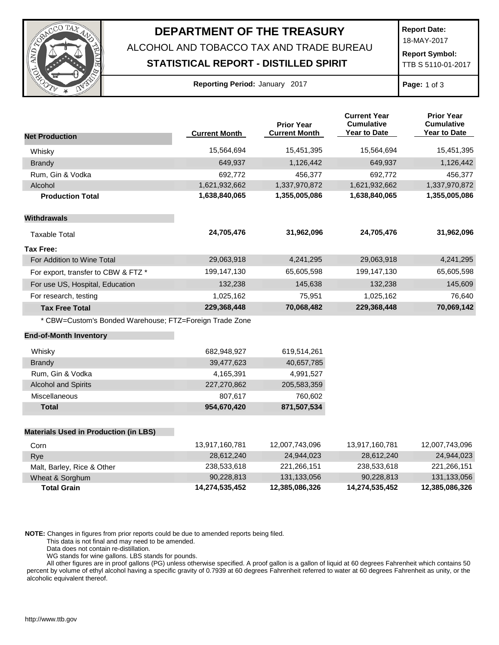

## **DEPARTMENT OF THE TREASURY**

ALCOHOL AND TOBACCO TAX AND TRADE BUREAU

## **STATISTICAL REPORT - DISTILLED SPIRIT**

**Report Date:** 18-MAY-2017

**Report Symbol:** TTB S 5110-01-2017

**Reporting Period:** January 2017 **Page:** 1 of 3

| <b>Net Production</b>                                   | <b>Current Month</b> | <b>Prior Year</b><br><b>Current Month</b> | <b>Current Year</b><br><b>Cumulative</b><br><b>Year to Date</b> | <b>Prior Year</b><br><b>Cumulative</b><br><b>Year to Date</b> |
|---------------------------------------------------------|----------------------|-------------------------------------------|-----------------------------------------------------------------|---------------------------------------------------------------|
| Whisky                                                  | 15,564,694           | 15,451,395                                | 15,564,694                                                      | 15,451,395                                                    |
| <b>Brandy</b>                                           | 649,937              | 1,126,442                                 | 649,937                                                         | 1,126,442                                                     |
| Rum, Gin & Vodka                                        | 692,772              | 456,377                                   | 692,772                                                         | 456,377                                                       |
| Alcohol                                                 | 1,621,932,662        | 1,337,970,872                             | 1,621,932,662                                                   | 1,337,970,872                                                 |
| <b>Production Total</b>                                 | 1,638,840,065        | 1,355,005,086                             | 1,638,840,065                                                   | 1,355,005,086                                                 |
| <b>Withdrawals</b>                                      |                      |                                           |                                                                 |                                                               |
| <b>Taxable Total</b>                                    | 24,705,476           | 31,962,096                                | 24,705,476                                                      | 31,962,096                                                    |
| <b>Tax Free:</b>                                        |                      |                                           |                                                                 |                                                               |
| For Addition to Wine Total                              | 29,063,918           | 4,241,295                                 | 29,063,918                                                      | 4,241,295                                                     |
| For export, transfer to CBW & FTZ *                     | 199,147,130          | 65,605,598                                | 199,147,130                                                     | 65,605,598                                                    |
| For use US, Hospital, Education                         | 132,238              | 145,638                                   | 132,238                                                         | 145,609                                                       |
| For research, testing                                   | 1,025,162            | 75,951                                    | 1,025,162                                                       | 76,640                                                        |
| <b>Tax Free Total</b>                                   | 229,368,448          | 70,068,482                                | 229,368,448                                                     | 70,069,142                                                    |
| * CBW=Custom's Bonded Warehouse; FTZ=Foreign Trade Zone |                      |                                           |                                                                 |                                                               |
| <b>End-of-Month Inventory</b>                           |                      |                                           |                                                                 |                                                               |
| Whisky                                                  | 682,948,927          | 619,514,261                               |                                                                 |                                                               |
| <b>Brandy</b>                                           | 39,477,623           | 40,657,785                                |                                                                 |                                                               |
| Rum, Gin & Vodka                                        | 4,165,391            | 4,991,527                                 |                                                                 |                                                               |
| <b>Alcohol and Spirits</b>                              | 227,270,862          | 205,583,359                               |                                                                 |                                                               |
| Miscellaneous                                           | 807,617              | 760,602                                   |                                                                 |                                                               |
| <b>Total</b>                                            | 954,670,420          | 871,507,534                               |                                                                 |                                                               |
| <b>Materials Used in Production (in LBS)</b>            |                      |                                           |                                                                 |                                                               |
| Corn                                                    | 13,917,160,781       | 12,007,743,096                            | 13,917,160,781                                                  | 12,007,743,096                                                |
| Rye                                                     | 28,612,240           | 24,944,023                                | 28,612,240                                                      | 24,944,023                                                    |
| Malt, Barley, Rice & Other                              | 238,533,618          | 221,266,151                               | 238,533,618                                                     | 221,266,151                                                   |
| Wheat & Sorghum                                         | 90,228,813           | 131,133,056                               | 90,228,813                                                      | 131,133,056                                                   |

**NOTE:** Changes in figures from prior reports could be due to amended reports being filed.

This data is not final and may need to be amended.

Data does not contain re-distillation.

WG stands for wine gallons. LBS stands for pounds.

All other figures are in proof gallons (PG) unless otherwise specified. A proof gallon is a gallon of liquid at 60 degrees Fahrenheit which contains 50 percent by volume of ethyl alcohol having a specific gravity of 0.7939 at 60 degrees Fahrenheit referred to water at 60 degrees Fahrenheit as unity, or the alcoholic equivalent thereof.

**Total Grain 14,274,535,452 12,385,086,326 14,274,535,452 12,385,086,326**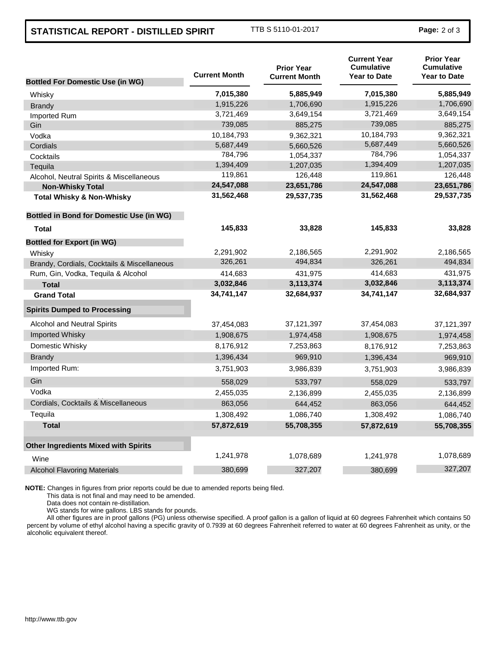## **STATISTICAL REPORT - DISTILLED SPIRIT** TTB S 5110-01-2017 **Page:** <sup>2</sup> of 3

|                                                 | <b>Current Month</b> | <b>Prior Year</b><br><b>Current Month</b> | <b>Current Year</b><br><b>Cumulative</b><br><b>Year to Date</b> | <b>Prior Year</b><br><b>Cumulative</b><br><b>Year to Date</b> |
|-------------------------------------------------|----------------------|-------------------------------------------|-----------------------------------------------------------------|---------------------------------------------------------------|
| <b>Bottled For Domestic Use (in WG)</b>         |                      |                                           |                                                                 |                                                               |
| Whisky                                          | 7,015,380            | 5,885,949                                 | 7,015,380                                                       | 5,885,949                                                     |
| <b>Brandy</b>                                   | 1,915,226            | 1,706,690                                 | 1,915,226                                                       | 1,706,690                                                     |
| Imported Rum                                    | 3,721,469            | 3,649,154                                 | 3,721,469                                                       | 3,649,154                                                     |
| Gin                                             | 739,085              | 885,275                                   | 739,085                                                         | 885,275                                                       |
| Vodka                                           | 10,184,793           | 9,362,321                                 | 10,184,793                                                      | 9,362,321                                                     |
| Cordials                                        | 5,687,449            | 5,660,526                                 | 5,687,449                                                       | 5,660,526                                                     |
| Cocktails                                       | 784,796              | 1,054,337                                 | 784,796                                                         | 1,054,337                                                     |
| Tequila                                         | 1,394,409            | 1,207,035                                 | 1,394,409                                                       | 1,207,035                                                     |
| Alcohol, Neutral Spirits & Miscellaneous        | 119,861              | 126,448                                   | 119,861                                                         | 126,448                                                       |
| <b>Non-Whisky Total</b>                         | 24,547,088           | 23,651,786                                | 24,547,088                                                      | 23,651,786                                                    |
| <b>Total Whisky &amp; Non-Whisky</b>            | 31,562,468           | 29,537,735                                | 31,562,468                                                      | 29,537,735                                                    |
| <b>Bottled in Bond for Domestic Use (in WG)</b> |                      |                                           |                                                                 |                                                               |
| Total                                           | 145,833              | 33,828                                    | 145,833                                                         | 33,828                                                        |
| <b>Bottled for Export (in WG)</b>               |                      |                                           |                                                                 |                                                               |
| Whisky                                          | 2,291,902            | 2,186,565                                 | 2,291,902                                                       | 2,186,565                                                     |
| Brandy, Cordials, Cocktails & Miscellaneous     | 326,261              | 494,834                                   | 326,261                                                         | 494,834                                                       |
| Rum, Gin, Vodka, Tequila & Alcohol              | 414,683              | 431,975                                   | 414,683                                                         | 431,975                                                       |
| <b>Total</b>                                    | 3,032,846            | 3,113,374                                 | 3,032,846                                                       | 3,113,374                                                     |
| <b>Grand Total</b>                              | 34,741,147           | 32,684,937                                | 34,741,147                                                      | 32,684,937                                                    |
| <b>Spirits Dumped to Processing</b>             |                      |                                           |                                                                 |                                                               |
| <b>Alcohol and Neutral Spirits</b>              | 37,454,083           | 37, 121, 397                              | 37,454,083                                                      | 37,121,397                                                    |
| <b>Imported Whisky</b>                          | 1,908,675            | 1,974,458                                 | 1,908,675                                                       | 1,974,458                                                     |
| Domestic Whisky                                 | 8,176,912            | 7,253,863                                 | 8,176,912                                                       | 7,253,863                                                     |
| Brandy                                          | 1,396,434            | 969,910                                   | 1,396,434                                                       | 969,910                                                       |
| Imported Rum:                                   | 3,751,903            | 3,986,839                                 | 3,751,903                                                       | 3,986,839                                                     |
| Gin                                             | 558,029              | 533,797                                   | 558,029                                                         | 533,797                                                       |
| Vodka                                           | 2,455,035            | 2,136,899                                 | 2,455,035                                                       | 2,136,899                                                     |
| Cordials, Cocktails & Miscellaneous             | 863,056              | 644,452                                   | 863,056                                                         | 644,452                                                       |
| Tequila                                         | 1,308,492            | 1,086,740                                 | 1,308,492                                                       | 1,086,740                                                     |
| <b>Total</b>                                    | 57,872,619           | 55,708,355                                | 57,872,619                                                      | 55,708,355                                                    |
| <b>Other Ingredients Mixed with Spirits</b>     |                      |                                           |                                                                 |                                                               |
| Wine                                            | 1,241,978            | 1,078,689                                 | 1,241,978                                                       | 1,078,689                                                     |
| <b>Alcohol Flavoring Materials</b>              | 380,699              | 327,207                                   | 380,699                                                         | 327,207                                                       |
|                                                 |                      |                                           |                                                                 |                                                               |

**NOTE:** Changes in figures from prior reports could be due to amended reports being filed.

This data is not final and may need to be amended.

Data does not contain re-distillation.

WG stands for wine gallons. LBS stands for pounds.

All other figures are in proof gallons (PG) unless otherwise specified. A proof gallon is a gallon of liquid at 60 degrees Fahrenheit which contains 50 percent by volume of ethyl alcohol having a specific gravity of 0.7939 at 60 degrees Fahrenheit referred to water at 60 degrees Fahrenheit as unity, or the alcoholic equivalent thereof.